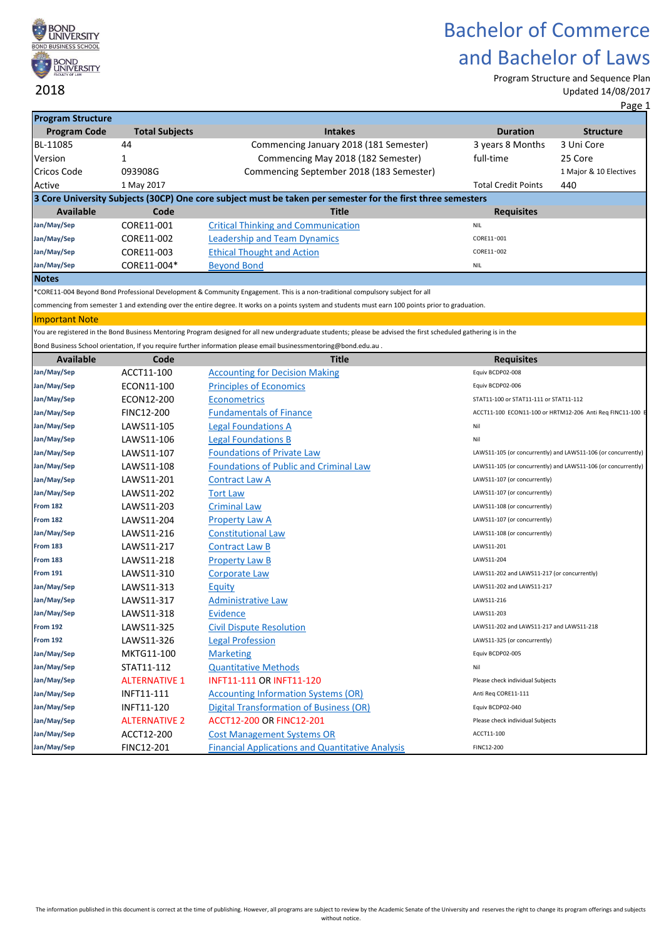

Program Structure and Sequence Plan Updated 14/08/2017

| <b>Program Structure</b> |                       |                                                                                                                                                                  |                                             |                                                               |
|--------------------------|-----------------------|------------------------------------------------------------------------------------------------------------------------------------------------------------------|---------------------------------------------|---------------------------------------------------------------|
| <b>Program Code</b>      | <b>Total Subjects</b> | <b>Intakes</b>                                                                                                                                                   | <b>Duration</b>                             | <b>Structure</b>                                              |
| BL-11085                 | 44                    | Commencing January 2018 (181 Semester)                                                                                                                           | 3 years 8 Months                            | 3 Uni Core                                                    |
| Version                  | 1                     | Commencing May 2018 (182 Semester)                                                                                                                               | full-time                                   | 25 Core                                                       |
| Cricos Code              | 093908G               | Commencing September 2018 (183 Semester)                                                                                                                         |                                             | 1 Major & 10 Electives                                        |
| Active                   | 1 May 2017            |                                                                                                                                                                  | <b>Total Credit Points</b>                  | 440                                                           |
|                          |                       | 3 Core University Subjects (30CP) One core subject must be taken per semester for the first three semesters                                                      |                                             |                                                               |
| <b>Available</b>         | Code                  | <b>Title</b>                                                                                                                                                     | <b>Requisites</b>                           |                                                               |
| Jan/May/Sep              | CORE11-001            | <b>Critical Thinking and Communication</b>                                                                                                                       | <b>NIL</b>                                  |                                                               |
| Jan/May/Sep              | CORE11-002            | <b>Leadership and Team Dynamics</b>                                                                                                                              | CORE11-001                                  |                                                               |
| Jan/May/Sep              | CORE11-003            | <b>Ethical Thought and Action</b>                                                                                                                                | CORE11-002                                  |                                                               |
| Jan/May/Sep              | CORE11-004*           | <b>Beyond Bond</b>                                                                                                                                               | <b>NIL</b>                                  |                                                               |
| <b>Notes</b>             |                       |                                                                                                                                                                  |                                             |                                                               |
|                          |                       | *CORE11-004 Beyond Bond Professional Development & Community Engagement. This is a non-traditional compulsory subject for all                                    |                                             |                                                               |
|                          |                       | commencing from semester 1 and extending over the entire degree. It works on a points system and students must earn 100 points prior to graduation.              |                                             |                                                               |
| <b>Important Note</b>    |                       |                                                                                                                                                                  |                                             |                                                               |
|                          |                       | You are registered in the Bond Business Mentoring Program designed for all new undergraduate students; please be advised the first scheduled gathering is in the |                                             |                                                               |
|                          |                       | Bond Business School orientation, If you require further information please email businessmentoring@bond.edu.au.                                                 |                                             |                                                               |
| <b>Available</b>         | Code                  | <b>Title</b>                                                                                                                                                     | <b>Requisites</b>                           |                                                               |
| Jan/May/Sep              | ACCT11-100            | <b>Accounting for Decision Making</b>                                                                                                                            | Equiv BCDP02-008                            |                                                               |
| Jan/May/Sep              | ECON11-100            | <b>Principles of Economics</b>                                                                                                                                   | Equiv BCDP02-006                            |                                                               |
| Jan/May/Sep              | ECON12-200            | <b>Econometrics</b>                                                                                                                                              | STAT11-100 or STAT11-111 or STAT11-112      |                                                               |
| Jan/May/Sep              | <b>FINC12-200</b>     | <b>Fundamentals of Finance</b>                                                                                                                                   |                                             | ACCT11-100 ECON11-100 or HRTM12-206 Anti Req FINC11-100 E     |
| Jan/May/Sep              | LAWS11-105            | <b>Legal Foundations A</b>                                                                                                                                       | Nil                                         |                                                               |
| Jan/May/Sep              | LAWS11-106            | <b>Legal Foundations B</b>                                                                                                                                       | Nil                                         |                                                               |
| Jan/May/Sep              | LAWS11-107            | <b>Foundations of Private Law</b>                                                                                                                                |                                             | LAWS11-105 (or concurrently) and LAWS11-106 (or concurrently) |
| Jan/May/Sep              | LAWS11-108            | <b>Foundations of Public and Criminal Law</b>                                                                                                                    |                                             | LAWS11-105 (or concurrently) and LAWS11-106 (or concurrently) |
| Jan/May/Sep              | LAWS11-201            | <b>Contract Law A</b>                                                                                                                                            | LAWS11-107 (or concurrently)                |                                                               |
| Jan/May/Sep              | LAWS11-202            | <b>Tort Law</b>                                                                                                                                                  | LAWS11-107 (or concurrently)                |                                                               |
| <b>From 182</b>          | LAWS11-203            | <b>Criminal Law</b>                                                                                                                                              | LAWS11-108 (or concurrently)                |                                                               |
| <b>From 182</b>          | LAWS11-204            | <b>Property Law A</b>                                                                                                                                            | LAWS11-107 (or concurrently)                |                                                               |
| Jan/May/Sep              | LAWS11-216            | <b>Constitutional Law</b>                                                                                                                                        | LAWS11-108 (or concurrently)                |                                                               |
| From 183                 | LAWS11-217            | <b>Contract Law B</b>                                                                                                                                            | LAWS11-201                                  |                                                               |
| From 183                 | LAWS11-218            | <b>Property Law B</b>                                                                                                                                            | LAWS11-204                                  |                                                               |
| <b>From 191</b>          | LAWS11-310            | <b>Corporate Law</b>                                                                                                                                             | LAWS11-202 and LAWS11-217 (or concurrently) |                                                               |
| Jan/May/Sep              | LAWS11-313            | Equity                                                                                                                                                           | LAWS11-202 and LAWS11-217                   |                                                               |
| Jan/May/Sep              | LAWS11-317            | Administrative Law                                                                                                                                               | LAWS11-216                                  |                                                               |
| Jan/May/Sep              | LAWS11-318            | Evidence                                                                                                                                                         | LAWS11-203                                  |                                                               |
| <b>From 192</b>          | LAWS11-325            | <b>Civil Dispute Resolution</b>                                                                                                                                  | LAWS11-202 and LAWS11-217 and LAWS11-218    |                                                               |
| <b>From 192</b>          | LAWS11-326            | <b>Legal Profession</b>                                                                                                                                          | LAWS11-325 (or concurrently)                |                                                               |
| Jan/May/Sep              | MKTG11-100            | <b>Marketing</b>                                                                                                                                                 | Equiv BCDP02-005                            |                                                               |
| Jan/May/Sep              | STAT11-112            | <b>Quantitative Methods</b>                                                                                                                                      | Nil                                         |                                                               |
| Jan/May/Sep              | <b>ALTERNATIVE 1</b>  | <b>INFT11-111 OR INFT11-120</b>                                                                                                                                  | Please check individual Subjects            |                                                               |
| Jan/May/Sep              | INFT11-111            | <b>Accounting Information Systems (OR)</b>                                                                                                                       | Anti Req CORE11-111                         |                                                               |
| Jan/May/Sep              | INFT11-120            | <b>Digital Transformation of Business (OR)</b>                                                                                                                   | Equiv BCDP02-040                            |                                                               |
| Jan/May/Sep              | <b>ALTERNATIVE 2</b>  | ACCT12-200 OR FINC12-201                                                                                                                                         | Please check individual Subjects            |                                                               |
| Jan/May/Sep              | ACCT12-200            | <b>Cost Management Systems OR</b>                                                                                                                                | ACCT11-100                                  |                                                               |
| Jan/May/Sep              | FINC12-201            | <b>Financial Applications and Quantitative Analysis</b>                                                                                                          | FINC12-200                                  |                                                               |
|                          |                       |                                                                                                                                                                  |                                             |                                                               |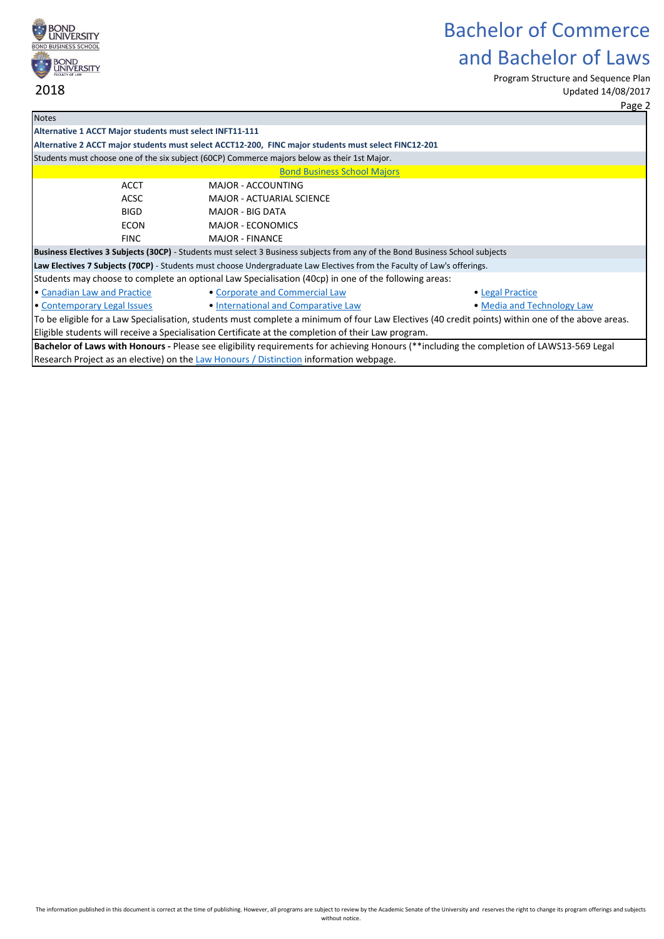

Program Structure and Sequence Plan Updated 14/08/2017

|                                                                                                                                                   |                                                                                                                               | Page 2                                                                                                                                    |  |  |  |  |
|---------------------------------------------------------------------------------------------------------------------------------------------------|-------------------------------------------------------------------------------------------------------------------------------|-------------------------------------------------------------------------------------------------------------------------------------------|--|--|--|--|
| <b>Notes</b>                                                                                                                                      |                                                                                                                               |                                                                                                                                           |  |  |  |  |
| Alternative 1 ACCT Major students must select INFT11-111                                                                                          |                                                                                                                               |                                                                                                                                           |  |  |  |  |
|                                                                                                                                                   | Alternative 2 ACCT major students must select ACCT12-200, FINC major students must select FINC12-201                          |                                                                                                                                           |  |  |  |  |
|                                                                                                                                                   | Students must choose one of the six subject (60CP) Commerce majors below as their 1st Major.                                  |                                                                                                                                           |  |  |  |  |
|                                                                                                                                                   | <b>Bond Business School Majors</b>                                                                                            |                                                                                                                                           |  |  |  |  |
| <b>ACCT</b>                                                                                                                                       | MAJOR - ACCOUNTING                                                                                                            |                                                                                                                                           |  |  |  |  |
| ACSC                                                                                                                                              | <b>MAJOR - ACTUARIAL SCIENCE</b>                                                                                              |                                                                                                                                           |  |  |  |  |
| <b>BIGD</b>                                                                                                                                       | <b>MAJOR - BIG DATA</b>                                                                                                       |                                                                                                                                           |  |  |  |  |
| <b>ECON</b>                                                                                                                                       | <b>MAJOR - ECONOMICS</b>                                                                                                      |                                                                                                                                           |  |  |  |  |
| <b>FINC</b>                                                                                                                                       | <b>MAJOR - FINANCE</b>                                                                                                        |                                                                                                                                           |  |  |  |  |
|                                                                                                                                                   | Business Electives 3 Subjects (30CP) - Students must select 3 Business subjects from any of the Bond Business School subjects |                                                                                                                                           |  |  |  |  |
|                                                                                                                                                   | Law Electives 7 Subjects (70CP) - Students must choose Undergraduate Law Electives from the Faculty of Law's offerings.       |                                                                                                                                           |  |  |  |  |
| Students may choose to complete an optional Law Specialisation (40cp) in one of the following areas:                                              |                                                                                                                               |                                                                                                                                           |  |  |  |  |
| • Canadian Law and Practice                                                                                                                       | • Corporate and Commercial Law                                                                                                | · Legal Practice                                                                                                                          |  |  |  |  |
| • Contemporary Legal Issues                                                                                                                       | • International and Comparative Law                                                                                           | • Media and Technology Law                                                                                                                |  |  |  |  |
| To be eligible for a Law Specialisation, students must complete a minimum of four Law Electives (40 credit points) within one of the above areas. |                                                                                                                               |                                                                                                                                           |  |  |  |  |
| Eligible students will receive a Specialisation Certificate at the completion of their Law program.                                               |                                                                                                                               |                                                                                                                                           |  |  |  |  |
|                                                                                                                                                   |                                                                                                                               | Bachelor of Laws with Honours - Please see eligibility requirements for achieving Honours (**including the completion of LAWS13-569 Legal |  |  |  |  |
|                                                                                                                                                   | Research Project as an elective) on the Law Honours / Distinction information webpage.                                        |                                                                                                                                           |  |  |  |  |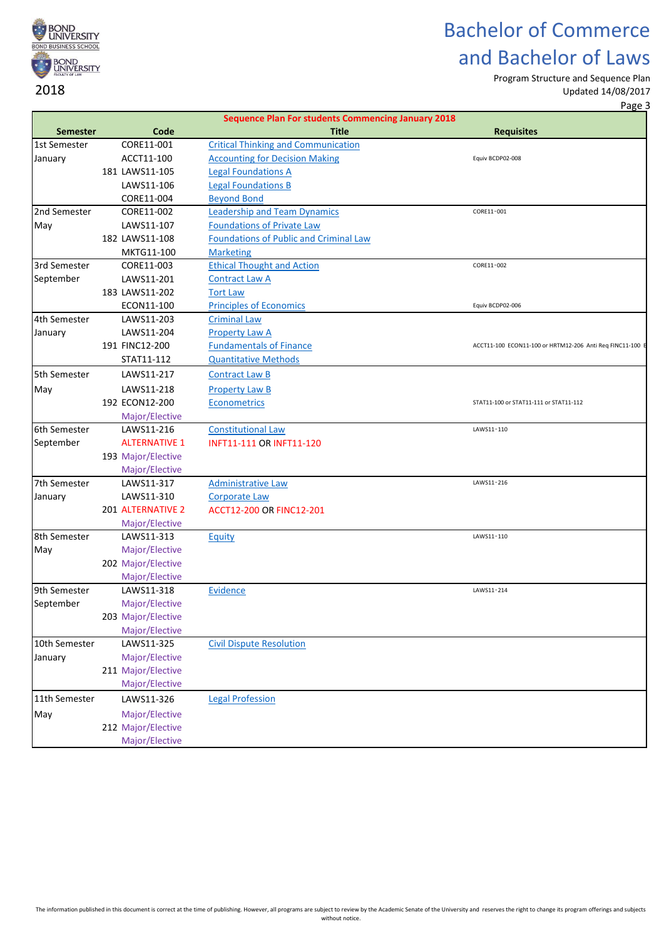

Program Structure and Sequence Plan

Updated 14/08/2017

Page 3

|                 |                          | <b>Sequence Plan For students Commencing January 2018</b> |                                                           |
|-----------------|--------------------------|-----------------------------------------------------------|-----------------------------------------------------------|
| <b>Semester</b> | Code                     | <b>Title</b>                                              | <b>Requisites</b>                                         |
| 1st Semester    | CORE11-001               | <b>Critical Thinking and Communication</b>                |                                                           |
| January         | ACCT11-100               | <b>Accounting for Decision Making</b>                     | Equiv BCDP02-008                                          |
|                 | 181 LAWS11-105           | <b>Legal Foundations A</b>                                |                                                           |
|                 | LAWS11-106               | <b>Legal Foundations B</b>                                |                                                           |
|                 | CORE11-004               | <b>Beyond Bond</b>                                        |                                                           |
| 2nd Semester    | CORE11-002               | <b>Leadership and Team Dynamics</b>                       | CORE11-001                                                |
| May             | LAWS11-107               | <b>Foundations of Private Law</b>                         |                                                           |
|                 | 182 LAWS11-108           | <b>Foundations of Public and Criminal Law</b>             |                                                           |
|                 | MKTG11-100               | <b>Marketing</b>                                          |                                                           |
| 3rd Semester    | CORE11-003               | <b>Ethical Thought and Action</b>                         | CORE11-002                                                |
| September       | LAWS11-201               | <b>Contract Law A</b>                                     |                                                           |
|                 | 183 LAWS11-202           | <b>Tort Law</b>                                           |                                                           |
|                 | ECON11-100               | <b>Principles of Economics</b>                            | Equiv BCDP02-006                                          |
| 4th Semester    | LAWS11-203               | <b>Criminal Law</b>                                       |                                                           |
| January         | LAWS11-204               | <b>Property Law A</b>                                     |                                                           |
|                 | 191 FINC12-200           | <b>Fundamentals of Finance</b>                            | ACCT11-100 ECON11-100 or HRTM12-206 Anti Req FINC11-100 E |
|                 | STAT11-112               | <b>Quantitative Methods</b>                               |                                                           |
| 5th Semester    | LAWS11-217               | <b>Contract Law B</b>                                     |                                                           |
| May             | LAWS11-218               | <b>Property Law B</b>                                     |                                                           |
|                 | 192 ECON12-200           | <b>Econometrics</b>                                       | STAT11-100 or STAT11-111 or STAT11-112                    |
|                 | Major/Elective           |                                                           |                                                           |
| 6th Semester    | LAWS11-216               | <b>Constitutional Law</b>                                 | LAWS11-110                                                |
| September       | <b>ALTERNATIVE 1</b>     | <b>INFT11-111 OR INFT11-120</b>                           |                                                           |
|                 | 193 Major/Elective       |                                                           |                                                           |
|                 | Major/Elective           |                                                           |                                                           |
| 7th Semester    | LAWS11-317               | <b>Administrative Law</b>                                 | LAWS11-216                                                |
| January         | LAWS11-310               | <b>Corporate Law</b>                                      |                                                           |
|                 | <b>201 ALTERNATIVE 2</b> | ACCT12-200 OR FINC12-201                                  |                                                           |
|                 | Major/Elective           |                                                           |                                                           |
| 8th Semester    | LAWS11-313               | Equity                                                    | LAWS11-110                                                |
| May             | Major/Elective           |                                                           |                                                           |
|                 | 202 Major/Elective       |                                                           |                                                           |
|                 | Major/Elective           |                                                           |                                                           |
| 9th Semester    | LAWS11-318               | <b>Evidence</b>                                           | LAWS11-214                                                |
| September       | Major/Elective           |                                                           |                                                           |
|                 | 203 Major/Elective       |                                                           |                                                           |
|                 | Major/Elective           |                                                           |                                                           |
| 10th Semester   | LAWS11-325               | <b>Civil Dispute Resolution</b>                           |                                                           |
| January         | Major/Elective           |                                                           |                                                           |
|                 | 211 Major/Elective       |                                                           |                                                           |
|                 | Major/Elective           |                                                           |                                                           |
| 11th Semester   | LAWS11-326               | <b>Legal Profession</b>                                   |                                                           |
| May             | Major/Elective           |                                                           |                                                           |
|                 | 212 Major/Elective       |                                                           |                                                           |
|                 | Major/Elective           |                                                           |                                                           |
|                 |                          |                                                           |                                                           |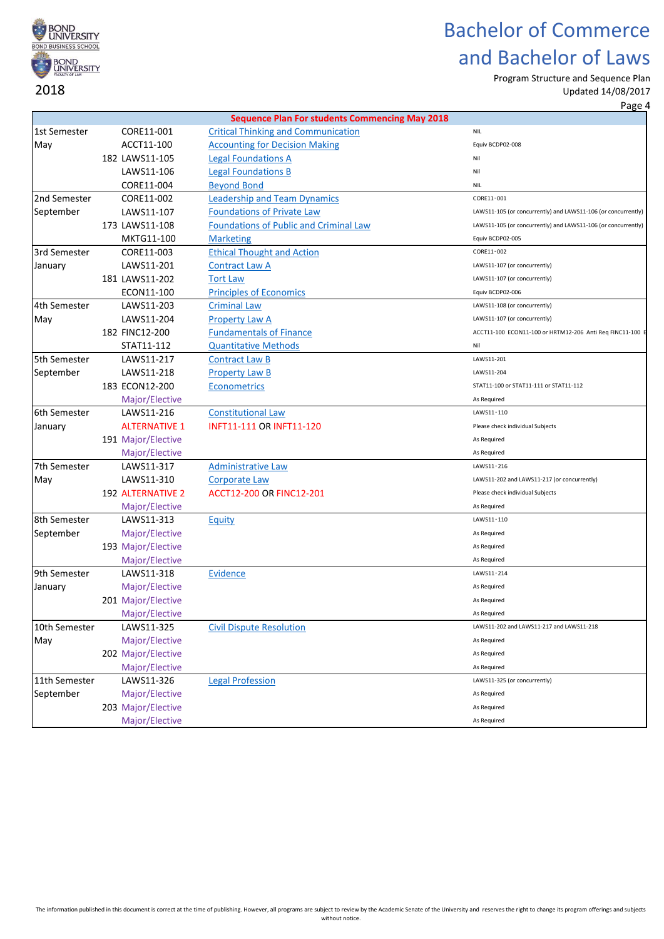

Program Structure and Sequence Plan

|               |                          |                                                       | Page 4                                                        |
|---------------|--------------------------|-------------------------------------------------------|---------------------------------------------------------------|
|               |                          | <b>Sequence Plan For students Commencing May 2018</b> |                                                               |
| 1st Semester  | CORE11-001               | <b>Critical Thinking and Communication</b>            | <b>NIL</b>                                                    |
| May           | ACCT11-100               | <b>Accounting for Decision Making</b>                 | Equiv BCDP02-008                                              |
|               | 182 LAWS11-105           | <b>Legal Foundations A</b>                            | Nil                                                           |
|               | LAWS11-106               | <b>Legal Foundations B</b>                            | Nil                                                           |
|               | CORE11-004               | <b>Beyond Bond</b>                                    | <b>NIL</b>                                                    |
| 2nd Semester  | CORE11-002               | <b>Leadership and Team Dynamics</b>                   | CORE11-001                                                    |
| September     | LAWS11-107               | <b>Foundations of Private Law</b>                     | LAWS11-105 (or concurrently) and LAWS11-106 (or concurrently) |
|               | 173 LAWS11-108           | <b>Foundations of Public and Criminal Law</b>         | LAWS11-105 (or concurrently) and LAWS11-106 (or concurrently) |
|               | MKTG11-100               | <b>Marketing</b>                                      | Equiv BCDP02-005                                              |
| 3rd Semester  | CORE11-003               | <b>Ethical Thought and Action</b>                     | CORE11-002                                                    |
| January       | LAWS11-201               | <b>Contract Law A</b>                                 | LAWS11-107 (or concurrently)                                  |
|               | 181 LAWS11-202           | <b>Tort Law</b>                                       | LAWS11-107 (or concurrently)                                  |
|               | ECON11-100               | <b>Principles of Economics</b>                        | Equiv BCDP02-006                                              |
| 4th Semester  | LAWS11-203               | <b>Criminal Law</b>                                   | LAWS11-108 (or concurrently)                                  |
| May           | LAWS11-204               | <b>Property Law A</b>                                 | LAWS11-107 (or concurrently)                                  |
|               | 182 FINC12-200           | <b>Fundamentals of Finance</b>                        | ACCT11-100 ECON11-100 or HRTM12-206 Anti Req FINC11-100 E     |
|               | STAT11-112               | <b>Quantitative Methods</b>                           | Nil                                                           |
| 5th Semester  | LAWS11-217               | <b>Contract Law B</b>                                 | LAWS11-201                                                    |
| September     | LAWS11-218               | <b>Property Law B</b>                                 | LAWS11-204                                                    |
|               | 183 ECON12-200           | <b>Econometrics</b>                                   | STAT11-100 or STAT11-111 or STAT11-112                        |
|               | Major/Elective           |                                                       | As Required                                                   |
| 6th Semester  | LAWS11-216               | <b>Constitutional Law</b>                             | LAWS11-110                                                    |
| January       | <b>ALTERNATIVE 1</b>     | <b>INFT11-111 OR INFT11-120</b>                       | Please check individual Subjects                              |
|               | 191 Major/Elective       |                                                       | As Required                                                   |
|               | Major/Elective           |                                                       | As Required                                                   |
| 7th Semester  | LAWS11-317               | <b>Administrative Law</b>                             | LAWS11-216                                                    |
| May           | LAWS11-310               | <b>Corporate Law</b>                                  | LAWS11-202 and LAWS11-217 (or concurrently)                   |
|               | <b>192 ALTERNATIVE 2</b> | ACCT12-200 OR FINC12-201                              | Please check individual Subjects                              |
|               | Major/Elective           |                                                       | As Required                                                   |
| 8th Semester  | LAWS11-313               | Equity                                                | LAWS11-110                                                    |
| September     | Major/Elective           |                                                       | As Required                                                   |
|               | 193 Major/Elective       |                                                       | As Required                                                   |
|               | Major/Elective           |                                                       | As Required                                                   |
| 9th Semester  | LAWS11-318               | Evidence                                              | LAWS11-214                                                    |
| January       | Major/Elective           |                                                       | As Required                                                   |
|               | 201 Major/Elective       |                                                       | As Required                                                   |
|               | Major/Elective           |                                                       | As Required                                                   |
| 10th Semester | LAWS11-325               | <b>Civil Dispute Resolution</b>                       | LAWS11-202 and LAWS11-217 and LAWS11-218                      |
| May           | Major/Elective           |                                                       | As Required                                                   |
|               | 202 Major/Elective       |                                                       | As Required                                                   |
|               | Major/Elective           |                                                       | As Required                                                   |
| 11th Semester | LAWS11-326               | <b>Legal Profession</b>                               | LAWS11-325 (or concurrently)                                  |
| September     | Major/Elective           |                                                       | As Required                                                   |
|               | 203 Major/Elective       |                                                       | As Required                                                   |
|               | Major/Elective           |                                                       | As Required                                                   |